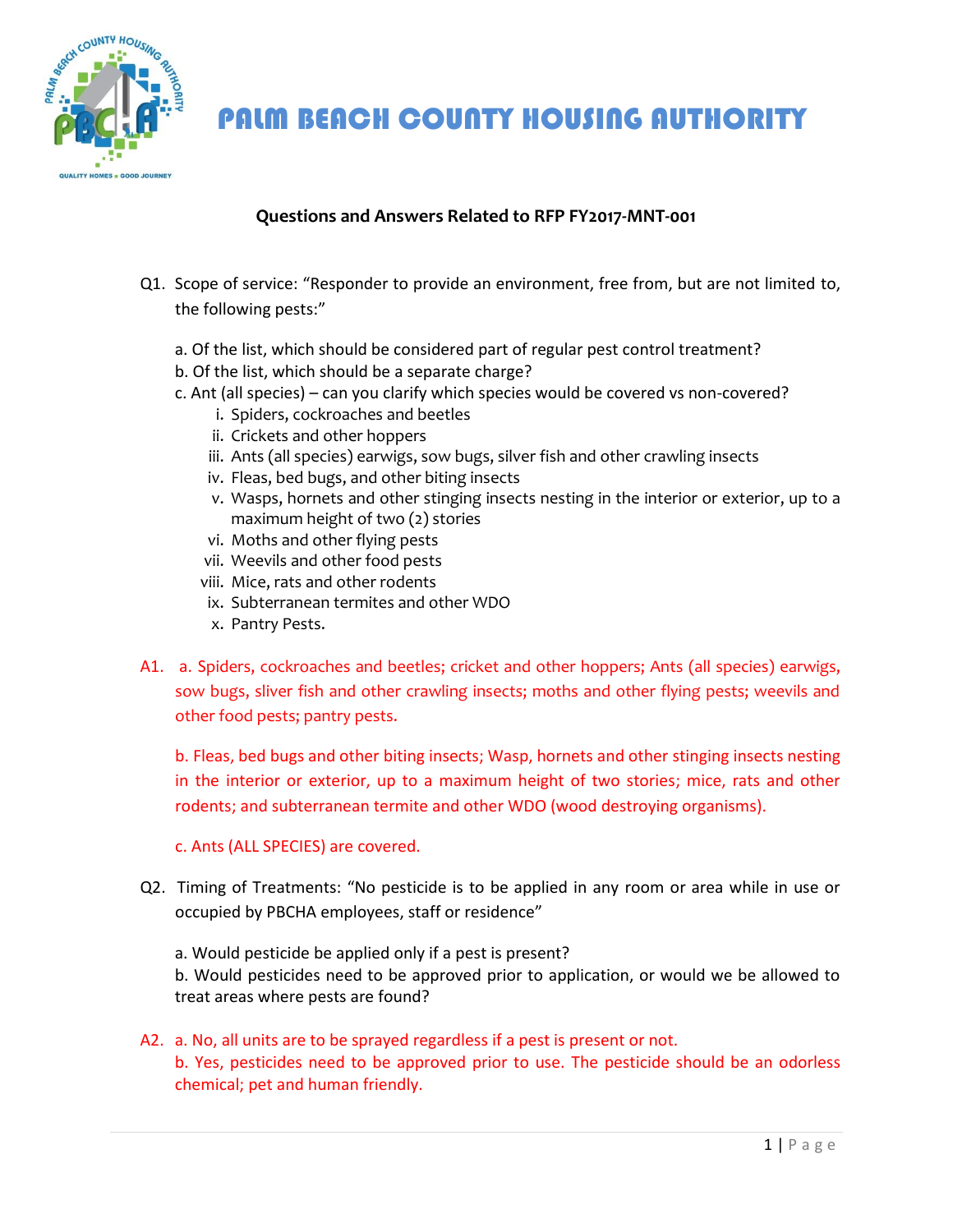

PALM BEACH COUNTY HOUSING AUTHORITY

## **Questions and Answers Related to RFP FY2017-MNT-001**

- Q1. Scope of service: "Responder to provide an environment, free from, but are not limited to, the following pests:"
	- a. Of the list, which should be considered part of regular pest control treatment?
	- b. Of the list, which should be a separate charge?
	- c. Ant (all species) can you clarify which species would be covered vs non-covered?
		- i. Spiders, cockroaches and beetles
		- ii. Crickets and other hoppers
		- iii. Ants (all species) earwigs, sow bugs, silver fish and other crawling insects
		- iv. Fleas, bed bugs, and other biting insects
		- v. Wasps, hornets and other stinging insects nesting in the interior or exterior, up to a maximum height of two (2) stories
		- vi. Moths and other flying pests
		- vii. Weevils and other food pests
		- viii. Mice, rats and other rodents
		- ix. Subterranean termites and other WDO
		- x. Pantry Pests.
- A1. a. Spiders, cockroaches and beetles; cricket and other hoppers; Ants (all species) earwigs, sow bugs, sliver fish and other crawling insects; moths and other flying pests; weevils and other food pests; pantry pests.

b. Fleas, bed bugs and other biting insects; Wasp, hornets and other stinging insects nesting in the interior or exterior, up to a maximum height of two stories; mice, rats and other rodents; and subterranean termite and other WDO (wood destroying organisms).

c. Ants (ALL SPECIES) are covered.

Q2. Timing of Treatments: "No pesticide is to be applied in any room or area while in use or occupied by PBCHA employees, staff or residence"

a. Would pesticide be applied only if a pest is present? b. Would pesticides need to be approved prior to application, or would we be allowed to treat areas where pests are found?

A2. a. No, all units are to be sprayed regardless if a pest is present or not. b. Yes, pesticides need to be approved prior to use. The pesticide should be an odorless chemical; pet and human friendly.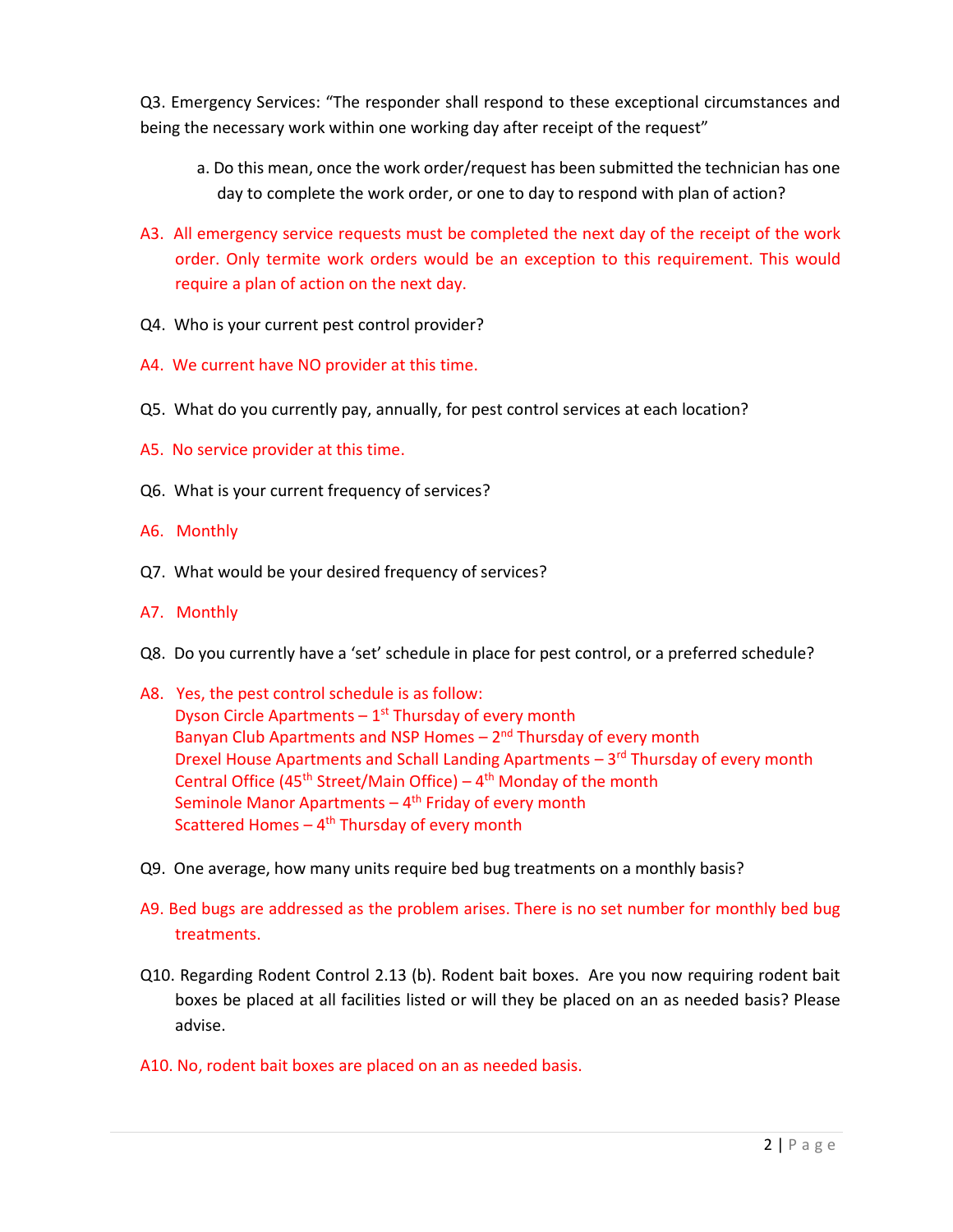Q3. Emergency Services: "The responder shall respond to these exceptional circumstances and being the necessary work within one working day after receipt of the request"

- a. Do this mean, once the work order/request has been submitted the technician has one day to complete the work order, or one to day to respond with plan of action?
- A3. All emergency service requests must be completed the next day of the receipt of the work order. Only termite work orders would be an exception to this requirement. This would require a plan of action on the next day.
- Q4. Who is your current pest control provider?
- A4. We current have NO provider at this time.
- Q5. What do you currently pay, annually, for pest control services at each location?
- A5. No service provider at this time.
- Q6. What is your current frequency of services?
- A6. Monthly
- Q7. What would be your desired frequency of services?
- A7. Monthly
- Q8. Do you currently have a 'set' schedule in place for pest control, or a preferred schedule?
- A8. Yes, the pest control schedule is as follow: Dyson Circle Apartments  $-1$ <sup>st</sup> Thursday of every month Banyan Club Apartments and NSP Homes - 2<sup>nd</sup> Thursday of every month Drexel House Apartments and Schall Landing Apartments - 3<sup>rd</sup> Thursday of every month Central Office (45<sup>th</sup> Street/Main Office) –  $4<sup>th</sup>$  Monday of the month Seminole Manor Apartments – 4<sup>th</sup> Friday of every month Scattered Homes – 4<sup>th</sup> Thursday of every month
- Q9. One average, how many units require bed bug treatments on a monthly basis?
- A9. Bed bugs are addressed as the problem arises. There is no set number for monthly bed bug treatments.
- Q10. Regarding Rodent Control 2.13 (b). Rodent bait boxes. Are you now requiring rodent bait boxes be placed at all facilities listed or will they be placed on an as needed basis? Please advise.
- A10. No, rodent bait boxes are placed on an as needed basis.